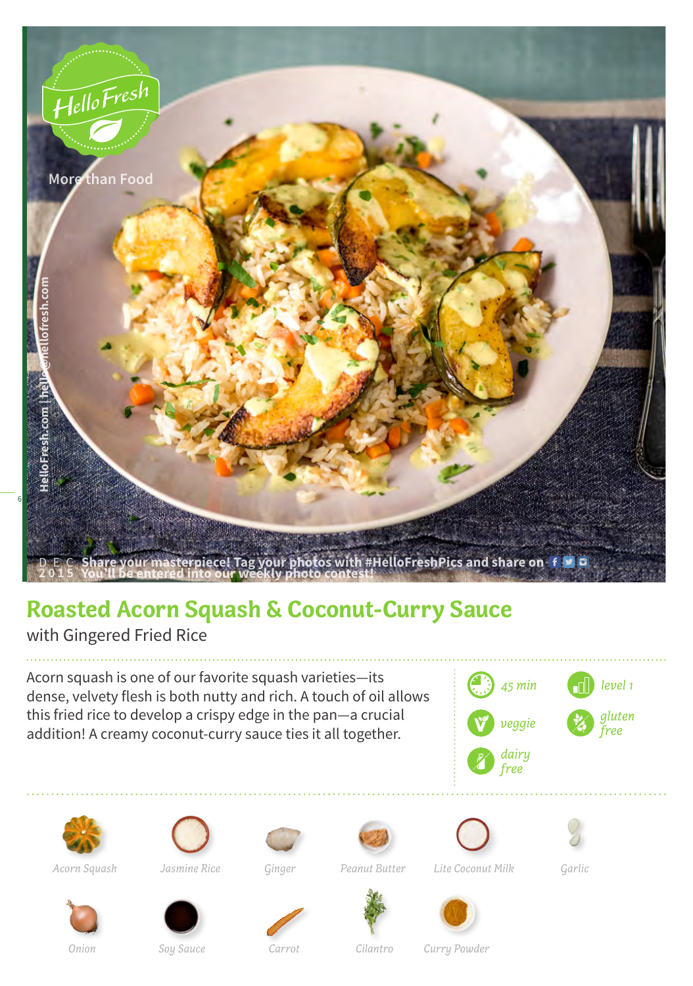

## **Roasted Acorn Squash & Coconut-Curry Sauce**

with Gingered Fried Rice

Acorn squash is one of our favorite squash varieties—its dense, velvety flesh is both nutty and rich. A touch of oil allows this fried rice to develop a crispy edge in the pan—a crucial addition! A creamy coconut-curry sauce ties it all together.





*Acorn Squash Jasmine Rice Ginger Peanut Butter Lite Coconut Milk Garlic*













*Onion Soy Sauce Carrot Cilantro Curry Powder*